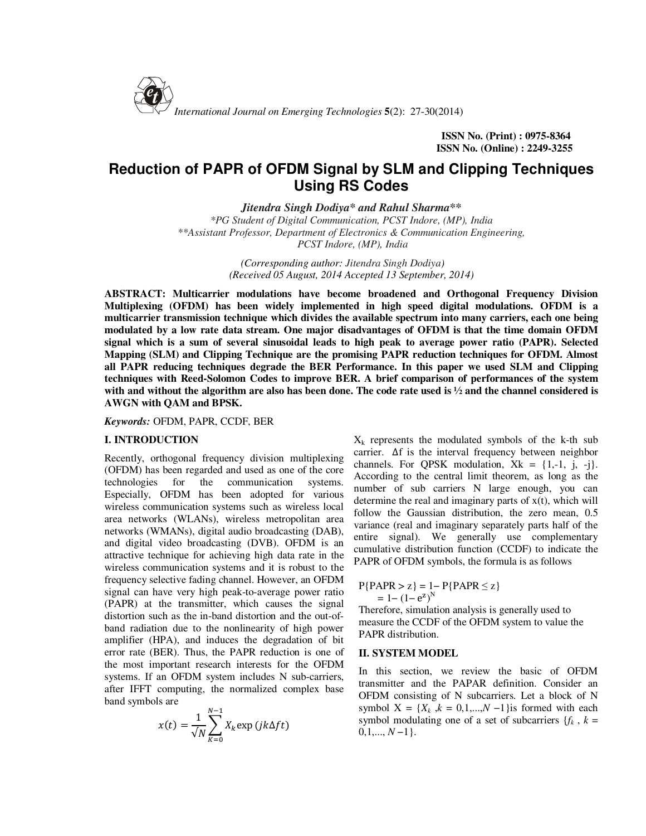

**ISSN No. (Print) : 0975-8364 ISSN No. (Online) : 2249-3255**

# **Reduction of PAPR of OFDM Signal by SLM and Clipping Techniques Using RS Codes**

*Jitendra Singh Dodiya\* and Rahul Sharma\*\** 

*\*PG Student of Digital Communication, PCST Indore, (MP), India \*\*Assistant Professor, Department of Electronics & Communication Engineering, PCST Indore, (MP), India*

> *(Corresponding author: Jitendra Singh Dodiya) (Received 05 August, 2014 Accepted 13 September, 2014)*

**ABSTRACT: Multicarrier modulations have become broadened and Orthogonal Frequency Division Multiplexing (OFDM) has been widely implemented in high speed digital modulations. OFDM is a multicarrier transmission technique which divides the available spectrum into many carriers, each one being modulated by a low rate data stream. One major disadvantages of OFDM is that the time domain OFDM signal which is a sum of several sinusoidal leads to high peak to average power ratio (PAPR). Selected Mapping (SLM) and Clipping Technique are the promising PAPR reduction techniques for OFDM. Almost all PAPR reducing techniques degrade the BER Performance. In this paper we used SLM and Clipping techniques with Reed-Solomon Codes to improve BER. A brief comparison of performances of the system with and without the algorithm are also has been done. The code rate used is ½ and the channel considered is AWGN with QAM and BPSK.** 

*Keywords:* OFDM, PAPR, CCDF, BER

#### **I. INTRODUCTION**

Recently, orthogonal frequency division multiplexing (OFDM) has been regarded and used as one of the core technologies for the communication systems. Especially, OFDM has been adopted for various wireless communication systems such as wireless local area networks (WLANs), wireless metropolitan area networks (WMANs), digital audio broadcasting (DAB), and digital video broadcasting (DVB). OFDM is an attractive technique for achieving high data rate in the wireless communication systems and it is robust to the frequency selective fading channel. However, an OFDM signal can have very high peak-to-average power ratio (PAPR) at the transmitter, which causes the signal distortion such as the in-band distortion and the out-ofband radiation due to the nonlinearity of high power amplifier (HPA), and induces the degradation of bit error rate (BER). Thus, the PAPR reduction is one of the most important research interests for the OFDM systems. If an OFDM system includes N sub-carriers, after IFFT computing, the normalized complex base band symbols are

$$
x(t) = \frac{1}{\sqrt{N}} \sum_{K=0}^{N-1} X_k \exp\left(jk\Delta ft\right)
$$

 $X_k$  represents the modulated symbols of the k-th sub carrier. ∆f is the interval frequency between neighbor channels. For QPSK modulation,  $Xk = \{1, -1, j, -j\}$ . According to the central limit theorem, as long as the number of sub carriers N large enough, you can determine the real and imaginary parts of  $x(t)$ , which will follow the Gaussian distribution, the zero mean, 0.5 variance (real and imaginary separately parts half of the entire signal). We generally use complementary cumulative distribution function (CCDF) to indicate the PAPR of OFDM symbols, the formula is as follows

$$
P{PAPR > z} = 1 - P{PAPR \le z}
$$

$$
= 1 - (1 - ez)N
$$

Therefore, simulation analysis is generally used to measure the CCDF of the OFDM system to value the PAPR distribution.

## **II. SYSTEM MODEL**

In this section, we review the basic of OFDM transmitter and the PAPAR definition. Consider an OFDM consisting of N subcarriers. Let a block of N symbol  $X = \{X_k, k = 0, 1, \ldots, N - 1\}$ is formed with each symbol modulating one of a set of subcarriers  ${f_k, k =$ 0,1,..., *N* −1}.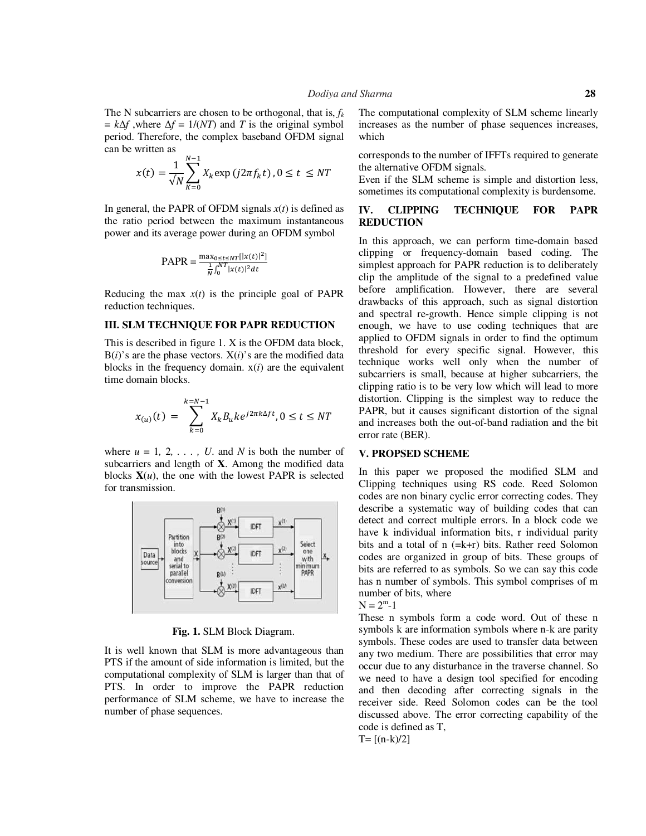The N subcarriers are chosen to be orthogonal, that is, *f<sup>k</sup>*  $= k\Delta f$ , where  $\Delta f = 1/(NT)$  and *T* is the original symbol period. Therefore, the complex baseband OFDM signal can be written as

$$
x(t) = \frac{1}{\sqrt{N}} \sum_{K=0}^{N-1} X_k \exp(j2\pi f_k t), 0 \le t \le NT
$$

In general, the PAPR of OFDM signals  $x(t)$  is defined as the ratio period between the maximum instantaneous power and its average power during an OFDM symbol

$$
PAPR = \frac{\max_{0 \le t \le NT} | |x(t)|^2]}{\frac{1}{N} \int_0^{NT} |x(t)|^2 dt}
$$

Reducing the max  $x(t)$  is the principle goal of PAPR reduction techniques.

## **III. SLM TECHNIQUE FOR PAPR REDUCTION**

This is described in figure 1. X is the OFDM data block,  $B(i)$ 's are the phase vectors.  $X(i)$ 's are the modified data blocks in the frequency domain.  $x(i)$  are the equivalent time domain blocks.

$$
x_{(u)}(t)\,=\,\sum_{k=0}^{k=N-1}X_kB_uke^{j2\pi k\Delta ft}, 0\leq t\leq NT
$$

where  $u = 1, 2, \ldots$ , *U*. and *N* is both the number of subcarriers and length of **X**. Among the modified data blocks  $X(u)$ , the one with the lowest PAPR is selected for transmission.



**Fig. 1.** SLM Block Diagram.

It is well known that SLM is more advantageous than PTS if the amount of side information is limited, but the computational complexity of SLM is larger than that of PTS. In order to improve the PAPR reduction performance of SLM scheme, we have to increase the number of phase sequences.

The computational complexity of SLM scheme linearly increases as the number of phase sequences increases, which

corresponds to the number of IFFTs required to generate the alternative OFDM signals.

Even if the SLM scheme is simple and distortion less, sometimes its computational complexity is burdensome.

# **IV. CLIPPING TECHNIQUE FOR PAPR REDUCTION**

In this approach, we can perform time-domain based clipping or frequency-domain based coding. The simplest approach for PAPR reduction is to deliberately clip the amplitude of the signal to a predefined value before amplification. However, there are several drawbacks of this approach, such as signal distortion and spectral re-growth. Hence simple clipping is not enough, we have to use coding techniques that are applied to OFDM signals in order to find the optimum threshold for every specific signal. However, this technique works well only when the number of subcarriers is small, because at higher subcarriers, the clipping ratio is to be very low which will lead to more distortion. Clipping is the simplest way to reduce the PAPR, but it causes significant distortion of the signal and increases both the out-of-band radiation and the bit error rate (BER).

## **V. PROPSED SCHEME**

In this paper we proposed the modified SLM and Clipping techniques using RS code. Reed Solomon codes are non binary cyclic error correcting codes. They describe a systematic way of building codes that can detect and correct multiple errors. In a block code we have k individual information bits, r individual parity bits and a total of n (=k+r) bits. Rather reed Solomon codes are organized in group of bits. These groups of bits are referred to as symbols. So we can say this code has n number of symbols. This symbol comprises of m number of bits, where



These n symbols form a code word. Out of these n symbols k are information symbols where n-k are parity symbols. These codes are used to transfer data between any two medium. There are possibilities that error may occur due to any disturbance in the traverse channel. So we need to have a design tool specified for encoding and then decoding after correcting signals in the receiver side. Reed Solomon codes can be the tool discussed above. The error correcting capability of the code is defined as T,

 $T = [(n-k)/2]$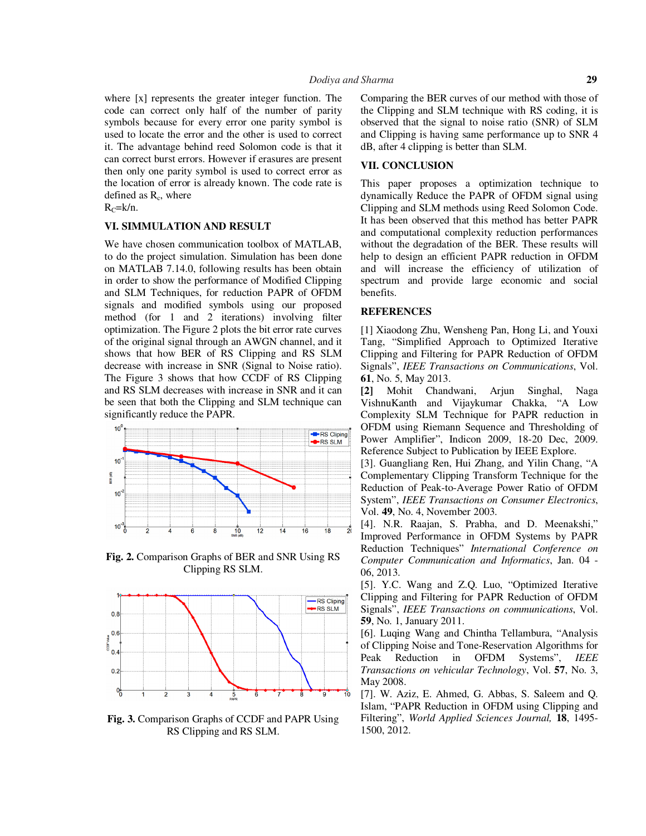where [x] represents the greater integer function. The code can correct only half of the number of parity symbols because for every error one parity symbol is used to locate the error and the other is used to correct it. The advantage behind reed Solomon code is that it can correct burst errors. However if erasures are present then only one parity symbol is used to correct error as the location of error is already known. The code rate is defined as  $R_c$ , where

 $R<sub>C</sub>=k/n$ .

# **VI. SIMMULATION AND RESULT**

We have chosen communication toolbox of MATLAB, to do the project simulation. Simulation has been done on MATLAB 7.14.0, following results has been obtain in order to show the performance of Modified Clipping and SLM Techniques, for reduction PAPR of OFDM signals and modified symbols using our proposed method (for 1 and 2 iterations) involving filter optimization. The Figure 2 plots the bit error rate curves of the original signal through an AWGN channel, and it shows that how BER of RS Clipping and RS SLM decrease with increase in SNR (Signal to Noise ratio). The Figure 3 shows that how CCDF of RS Clipping and RS SLM decreases with increase in SNR and it can be seen that both the Clipping and SLM technique can significantly reduce the PAPR.



**Fig. 2.** Comparison Graphs of BER and SNR Using RS Clipping RS SLM.



**Fig. 3.** Comparison Graphs of CCDF and PAPR Using RS Clipping and RS SLM.

Comparing the BER curves of our method with those of the Clipping and SLM technique with RS coding, it is observed that the signal to noise ratio (SNR) of SLM and Clipping is having same performance up to SNR 4 dB, after 4 clipping is better than SLM.

## **VII. CONCLUSION**

This paper proposes a optimization technique to dynamically Reduce the PAPR of OFDM signal using Clipping and SLM methods using Reed Solomon Code. It has been observed that this method has better PAPR and computational complexity reduction performances without the degradation of the BER. These results will help to design an efficient PAPR reduction in OFDM and will increase the efficiency of utilization of spectrum and provide large economic and social benefits.

#### **REFERENCES**

[1] Xiaodong Zhu, Wensheng Pan, Hong Li, and Youxi Tang, "Simplified Approach to Optimized Iterative Clipping and Filtering for PAPR Reduction of OFDM Signals", *IEEE Transactions on Communications*, Vol. **61**, No. 5, May 2013.

**[2]** Mohit Chandwani, Arjun Singhal, Naga VishnuKanth and Vijaykumar Chakka, "A Low Complexity SLM Technique for PAPR reduction in OFDM using Riemann Sequence and Thresholding of Power Amplifier", Indicon 2009, 18-20 Dec, 2009. Reference Subject to Publication by IEEE Explore.

[3]. Guangliang Ren, Hui Zhang, and Yilin Chang, "A Complementary Clipping Transform Technique for the Reduction of Peak-to-Average Power Ratio of OFDM System", *IEEE Transactions on Consumer Electronics*, Vol. **49**, No. 4, November 2003.

[4]. N.R. Raajan, S. Prabha, and D. Meenakshi," Improved Performance in OFDM Systems by PAPR Reduction Techniques" *International Conference on Computer Communication and Informatics*, Jan. 04 - 06, 2013.

[5]. Y.C. Wang and Z.Q. Luo, "Optimized Iterative Clipping and Filtering for PAPR Reduction of OFDM Signals", *IEEE Transactions on communications*, Vol. **59**, No. 1, January 2011.

[6]. Luqing Wang and Chintha Tellambura, "Analysis of Clipping Noise and Tone-Reservation Algorithms for Peak Reduction in OFDM Systems", *IEEE Transactions on vehicular Technology*, Vol. **57**, No. 3, May 2008.

[7]. W. Aziz, E. Ahmed, G. Abbas, S. Saleem and Q. Islam, "PAPR Reduction in OFDM using Clipping and Filtering", *World Applied Sciences Journal,* **18**, 1495- 1500, 2012.